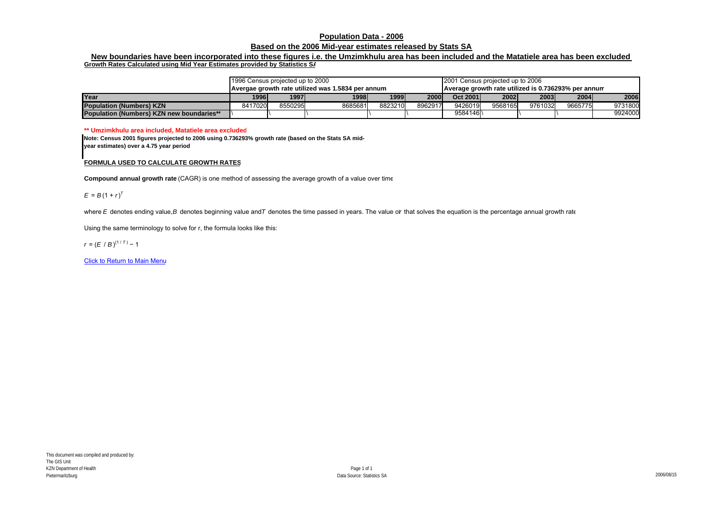## **Population Data - 2006**

## **Based on the 2006 Mid-year estimates released by Stats SA**

## **New boundaries have been incorporated into these figures i.e. the Umzimkhulu area has been included and the Matatiele area has been excluded Growth Rates Calculated using Mid Year Estimates provided by Statistics SA**

|                                                  | 1996 Census projected up to 2000                  |         |         |         |         | 2001 Census projected up to 2006                    |         |         |         |         |
|--------------------------------------------------|---------------------------------------------------|---------|---------|---------|---------|-----------------------------------------------------|---------|---------|---------|---------|
|                                                  | Avergae growth rate utilized was 1.5834 per annum |         |         |         |         | Average growth rate utilized is 0.736293% per annum |         |         |         |         |
| Year                                             | 19961                                             | 1997    | 1998    | 1999    | 2000l   | Oct 2001                                            | 2002    | 2003    | 2004    | 2006    |
| <b>Population (Numbers) KZN</b>                  | 8417020                                           | 8550295 | 8685681 | 8823210 | 8962917 | 9426019                                             | 9568165 | 9761032 | 9665775 | 9731800 |
| <b>Population (Numbers) KZN new boundaries**</b> |                                                   |         |         |         |         | 9584146                                             |         |         |         | 9924000 |

**\*\* Umzimkhulu area included, Matatiele area excluded**

**Note: Census 2001 figures projected to 2006 using 0.736293% growth rate (based on the Stats SA midyear estimates) over a 4.75 year period**

## **FORMULA USED TO CALCULATE GROWTH RATES**

**Compound annual growth rate** (CAGR) is one method of assessing the average growth of a value over time

 $E = B(1 + r)^{T}$ 

where E denotes ending value, B denotes beginning value and T denotes the time passed in years. The value oir that solves the equation is the percentage annual growth rate

Using the same terminology to solve for r, the formula looks like this:

 $r = (E / B)^{(1/T)} - 1$ 

**Click to Return to Main Menu**